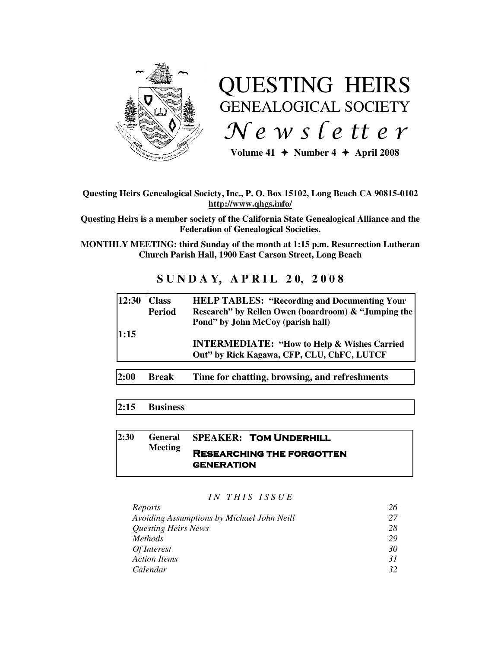

# QUESTING HEIRS GENEALOGICAL SOCIETY  $Ne$  w s letter

Volume  $41 \div \text{Number } 4 \div \text{ April } 2008$ 

#### **Questing Heirs Genealogical Society, Inc., P. O. Box 15102, Long Beach CA 90815-0102 http://www.qhgs.info/**

**Questing Heirs is a member society of the California State Genealogical Alliance and the Federation of Genealogical Societies.** 

**MONTHLY MEETING: third Sunday of the month at 1:15 p.m. Resurrection Lutheran Church Parish Hall, 1900 East Carson Street, Long Beach** 

# **SUNDAY, APRIL 20, 2008**

| 12:30 | <b>Class</b><br><b>Period</b> | <b>HELP TABLES: "Recording and Documenting Your"</b><br>Research" by Rellen Owen (boardroom) & "Jumping the<br>Pond" by John McCoy (parish hall) |
|-------|-------------------------------|--------------------------------------------------------------------------------------------------------------------------------------------------|
| 1:15  |                               | <b>INTERMEDIATE: "How to Help &amp; Wishes Carried</b><br>Out" by Rick Kagawa, CFP, CLU, ChFC, LUTCF                                             |
| 2:00  | <b>Break</b>                  | Time for chatting, browsing, and refreshments                                                                                                    |

#### **2:15 Business**

#### **2:30 General Meeting SPEAKER: TOM UNDERHILL** Researching the forgotten **GENERATION**

*I N T H I S I S S U E* 

| Reports                                    | 26 |
|--------------------------------------------|----|
| Avoiding Assumptions by Michael John Neill | 27 |
| <b>Questing Heirs News</b>                 | 28 |
| <i>Methods</i>                             | 29 |
| Of Interest                                | 30 |
| <b>Action Items</b>                        | 31 |
| Calendar                                   | 32 |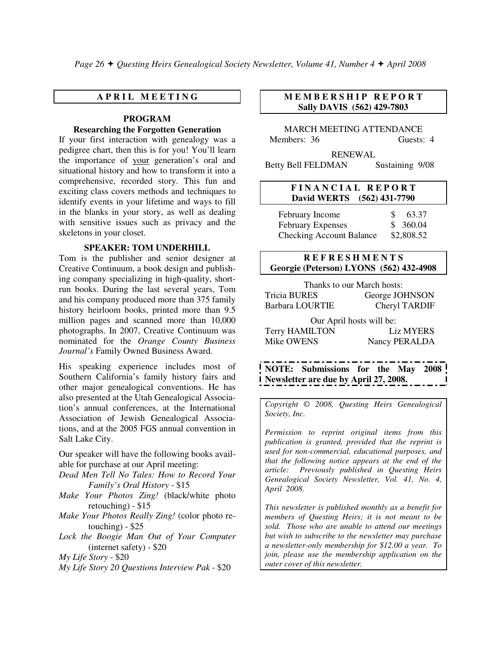#### **A P R I L M E E T I N G**

#### **PROGRAM Researching the Forgotten Generation**

If your first interaction with genealogy was a pedigree chart, then this is for you! You'll learn the importance of your generation's oral and situational history and how to transform it into a comprehensive, recorded story. This fun and exciting class covers methods and techniques to identify events in your lifetime and ways to fill in the blanks in your story, as well as dealing with sensitive issues such as privacy and the skeletons in your closet.

#### **SPEAKER: TOM UNDERHILL**

Tom is the publisher and senior designer at Creative Continuum, a book design and publishing company specializing in high-quality, shortrun books. During the last several years, Tom and his company produced more than 375 family history heirloom books, printed more than 9.5 million pages and scanned more than 10,000 photographs. In 2007, Creative Continuum was nominated for the *Orange County Business Journal's* Family Owned Business Award*.*

His speaking experience includes most of Southern California's family history fairs and other major genealogical conventions. He has also presented at the Utah Genealogical Association's annual conferences, at the International Association of Jewish Genealogical Associations, and at the 2005 FGS annual convention in Salt Lake City.

Our speaker will have the following books available for purchase at our April meeting:

- *Dead Men Tell No Tales: How to Record Your Family's Oral History* - \$15
- *Make Your Photos Zing!* (black/white photo retouching) - \$15
- *Make Your Photos Really Zing!* (color photo re touching) - \$25
- *Lock the Boogie Man Out of Your Computer* (internet safety) - \$20
- *My Life Story* \$20
- *My Life Story 20 Questions Interview Pak* \$20

#### **M E M B E R S H I P R E P O R T Sally DAVIS (562) 429-7803**

MARCH MEETING ATTENDANCE Members: 36 Guests: 4

RENEWAL Betty Bell FELDMAN Sustaining 9/08

#### **F I N A N C I A L R E P O R T David WERTS (562) 431-7790**

February Income  $\qquad$  \$ 63.37 February Expenses  $$360.04$ Checking Account Balance \$2,808.52

#### **R E F R E S H M E N T S Georgie (Peterson) LYONS (562) 432-4908**

Thanks to our March hosts: Tricia BURES George JOHNSON Barbara LOURTIE Cheryl TARDIF

Our April hosts will be: Terry HAMILTON Liz MYERS Mike OWENS Nancy PERALDA

**NOTE: Submissions for the May 2008 Newsletter are due by April 27, 2008.** 

*Copyright* © *2008, Questing Heirs Genealogical Society, Inc.* 

*Permission to reprint original items from this publication is granted, provided that the reprint is used for non-commercial, educational purposes, and that the following notice appears at the end of the article: Previously published in Questing Heirs Genealogical Society Newsletter, Vol. 41, No. 4, April 2008.* 

*This newsletter is published monthly as a benefit for members of Questing Heirs; it is not meant to be sold. Those who are unable to attend our meetings but wish to subscribe to the newsletter may purchase a newsletter-only membership for \$12.00 a year. To join, please use the membership application on the outer cover of this newsletter.*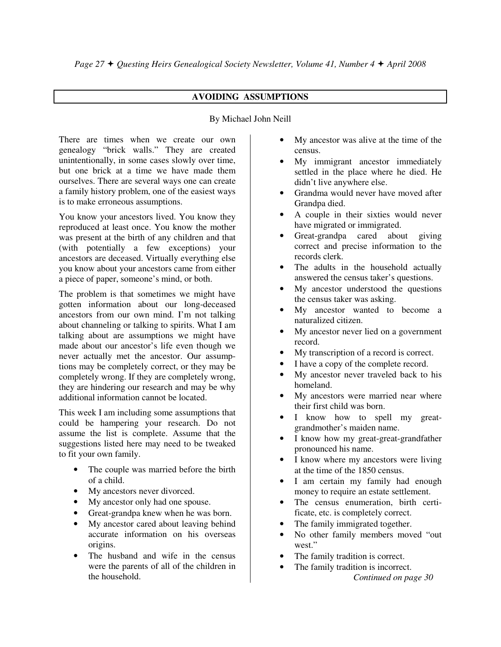#### **AVOIDING ASSUMPTIONS**

#### By Michael John Neill

There are times when we create our own genealogy "brick walls." They are created unintentionally, in some cases slowly over time, but one brick at a time we have made them ourselves. There are several ways one can create a family history problem, one of the easiest ways is to make erroneous assumptions.

You know your ancestors lived. You know they reproduced at least once. You know the mother was present at the birth of any children and that (with potentially a few exceptions) your ancestors are deceased. Virtually everything else you know about your ancestors came from either a piece of paper, someone's mind, or both.

The problem is that sometimes we might have gotten information about our long-deceased ancestors from our own mind. I'm not talking about channeling or talking to spirits. What I am talking about are assumptions we might have made about our ancestor's life even though we never actually met the ancestor. Our assumptions may be completely correct, or they may be completely wrong. If they are completely wrong, they are hindering our research and may be why additional information cannot be located.

This week I am including some assumptions that could be hampering your research. Do not assume the list is complete. Assume that the suggestions listed here may need to be tweaked to fit your own family.

- The couple was married before the birth of a child.
- My ancestors never divorced.
- My ancestor only had one spouse.
- Great-grandpa knew when he was born.
- My ancestor cared about leaving behind accurate information on his overseas origins.
- The husband and wife in the census were the parents of all of the children in the household.
- My ancestor was alive at the time of the census.
- My immigrant ancestor immediately settled in the place where he died. He didn't live anywhere else.
- Grandma would never have moved after Grandpa died.
- A couple in their sixties would never have migrated or immigrated.
- Great-grandpa cared about giving correct and precise information to the records clerk.
- The adults in the household actually answered the census taker's questions.
- My ancestor understood the questions the census taker was asking.
- My ancestor wanted to become a naturalized citizen.
- My ancestor never lied on a government record.
- My transcription of a record is correct.
- I have a copy of the complete record.
- My ancestor never traveled back to his homeland.
- My ancestors were married near where their first child was born.
- I know how to spell my greatgrandmother's maiden name.
- I know how my great-great-grandfather pronounced his name.
- I know where my ancestors were living at the time of the 1850 census.
- I am certain my family had enough money to require an estate settlement.
- The census enumeration, birth certificate, etc. is completely correct.
- The family immigrated together.
- No other family members moved "out west."
- The family tradition is correct.
- The family tradition is incorrect.  *Continued on page 30*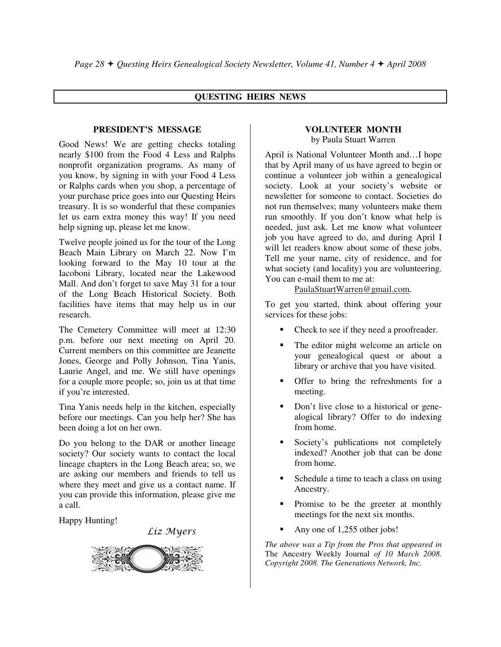#### **QUESTING HEIRS NEWS**

#### **PRESIDENT'S MESSAGE**

Good News! We are getting checks totaling nearly \$100 from the Food 4 Less and Ralphs nonprofit organization programs. As many of you know, by signing in with your Food 4 Less or Ralphs cards when you shop, a percentage of your purchase price goes into our Questing Heirs treasury. It is so wonderful that these companies let us earn extra money this way! If you need help signing up, please let me know.

Twelve people joined us for the tour of the Long Beach Main Library on March 22. Now I'm looking forward to the May 10 tour at the Iacoboni Library, located near the Lakewood Mall. And don't forget to save May 31 for a tour of the Long Beach Historical Society. Both facilities have items that may help us in our research.

The Cemetery Committee will meet at 12:30 p.m. before our next meeting on April 20. Current members on this committee are Jeanette Jones, George and Polly Johnson, Tina Yanis, Laurie Angel, and me. We still have openings for a couple more people; so, join us at that time if you're interested.

Tina Yanis needs help in the kitchen, especially before our meetings. Can you help her? She has been doing a lot on her own.

Do you belong to the DAR or another lineage society? Our society wants to contact the local lineage chapters in the Long Beach area; so, we are asking our members and friends to tell us where they meet and give us a contact name. If you can provide this information, please give me a call.

Happy Hunting!

Liz Myers



#### **VOLUNTEER MONTH** by Paula Stuart Warren

April is National Volunteer Month and…I hope that by April many of us have agreed to begin or continue a volunteer job within a genealogical society. Look at your society's website or newsletter for someone to contact. Societies do not run themselves; many volunteers make them run smoothly. If you don't know what help is needed, just ask. Let me know what volunteer job you have agreed to do, and during April I will let readers know about some of these jobs. Tell me your name, city of residence, and for what society (and locality) you are volunteering. You can e-mail them to me at:

PaulaStuartWarren@gmail.com.

To get you started, think about offering your services for these jobs:

- -Check to see if they need a proofreader.
- - The editor might welcome an article on your genealogical quest or about a library or archive that you have visited.
- - Offer to bring the refreshments for a meeting.
- - Don't live close to a historical or genealogical library? Offer to do indexing from home.
- - Society's publications not completely indexed? Another job that can be done from home.
- - Schedule a time to teach a class on using Ancestry.
- - Promise to be the greeter at monthly meetings for the next six months.
- -Any one of 1,255 other jobs!

*The above was a Tip from the Pros that appeared in*  The Ancestry Weekly Journal *of 10 March 2008. Copyright 2008. The Generations Network, Inc.*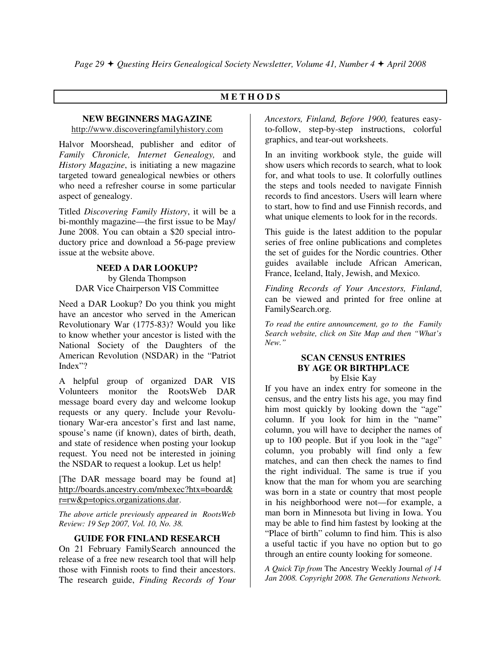#### **M E T H O D S**

#### **NEW BEGINNERS MAGAZINE**

http://www.discoveringfamilyhistory.com

Halvor Moorshead, publisher and editor of *Family Chronicle, Internet Genealogy,* and *History Magazine*, is initiating a new magazine targeted toward genealogical newbies or others who need a refresher course in some particular aspect of genealogy.

Titled *Discovering Family History*, it will be a bi-monthly magazine—the first issue to be May/ June 2008. You can obtain a \$20 special introductory price and download a 56-page preview issue at the website above.

#### **NEED A DAR LOOKUP?** by Glenda Thompson DAR Vice Chairperson VIS Committee

Need a DAR Lookup? Do you think you might have an ancestor who served in the American Revolutionary War (1775-83)? Would you like to know whether your ancestor is listed with the National Society of the Daughters of the American Revolution (NSDAR) in the "Patriot Index"?

A helpful group of organized DAR VIS Volunteers monitor the RootsWeb DAR message board every day and welcome lookup requests or any query. Include your Revolutionary War-era ancestor's first and last name, spouse's name (if known), dates of birth, death, and state of residence when posting your lookup request. You need not be interested in joining the NSDAR to request a lookup. Let us help!

[The DAR message board may be found at] http://boards.ancestry.com/mbexec?htx=board& r=rw&p=topics.organizations.dar.

*The above article previously appeared in RootsWeb Review: 19 Sep 2007, Vol. 10, No. 38.* 

#### **GUIDE FOR FINLAND RESEARCH**

On 21 February FamilySearch announced the release of a free new research tool that will help those with Finnish roots to find their ancestors. The research guide, *Finding Records of Your* 

*Ancestors, Finland, Before 1900,* features easyto-follow, step-by-step instructions, colorful graphics, and tear-out worksheets.

In an inviting workbook style, the guide will show users which records to search, what to look for, and what tools to use. It colorfully outlines the steps and tools needed to navigate Finnish records to find ancestors. Users will learn where to start, how to find and use Finnish records, and what unique elements to look for in the records.

This guide is the latest addition to the popular series of free online publications and completes the set of guides for the Nordic countries. Other guides available include African American, France, Iceland, Italy, Jewish, and Mexico.

*Finding Records of Your Ancestors, Finland*, can be viewed and printed for free online at FamilySearch.org.

*To read the entire announcement, go to the Family Search website, click on Site Map and then "What's New."* 

#### **SCAN CENSUS ENTRIES BY AGE OR BIRTHPLACE**  by Elsie Kay

If you have an index entry for someone in the census, and the entry lists his age, you may find him most quickly by looking down the "age" column. If you look for him in the "name" column, you will have to decipher the names of up to 100 people. But if you look in the "age" column, you probably will find only a few matches, and can then check the names to find the right individual. The same is true if you know that the man for whom you are searching was born in a state or country that most people in his neighborhood were not—for example, a man born in Minnesota but living in Iowa. You may be able to find him fastest by looking at the "Place of birth" column to find him. This is also a useful tactic if you have no option but to go through an entire county looking for someone.

*A Quick Tip from* The Ancestry Weekly Journal *of 14 Jan 2008. Copyright 2008. The Generations Network.*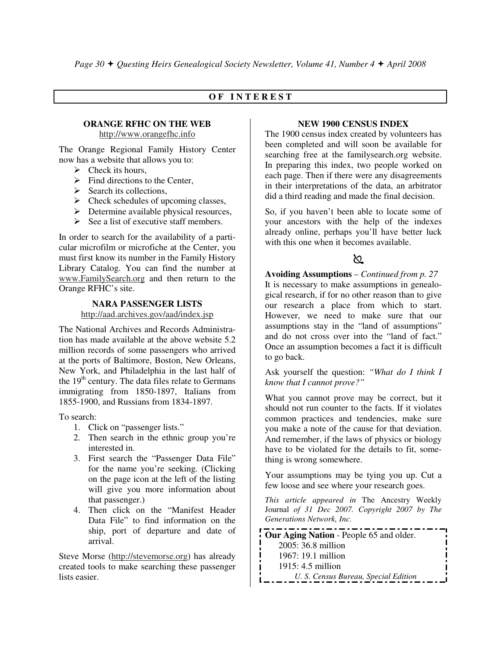#### **O F I N T E R E S T**

#### **ORANGE RFHC ON THE WEB**

http://www.orangefhc.info

The Orange Regional Family History Center now has a website that allows you to:

- $\triangleright$  Check its hours,
- $\triangleright$  Find directions to the Center,
- > Search its collections,
- > Check schedules of upcoming classes,
- Determine available physical resources,
- $\triangleright$  See a list of executive staff members.

In order to search for the availability of a particular microfilm or microfiche at the Center, you must first know its number in the Family History Library Catalog. You can find the number at www.FamilySearch.org and then return to the Orange RFHC's site.

#### **NARA PASSENGER LISTS**

http://aad.archives.gov/aad/index.jsp

The National Archives and Records Administration has made available at the above website 5.2 million records of some passengers who arrived at the ports of Baltimore, Boston, New Orleans, New York, and Philadelphia in the last half of the  $19<sup>th</sup>$  century. The data files relate to Germans immigrating from 1850-1897, Italians from 1855-1900, and Russians from 1834-1897.

To search:

- 1. Click on "passenger lists."
- 2. Then search in the ethnic group you're interested in.
- 3. First search the "Passenger Data File" for the name you're seeking. (Clicking on the page icon at the left of the listing will give you more information about that passenger.)
- 4. Then click on the "Manifest Header Data File" to find information on the ship, port of departure and date of arrival.

Steve Morse (http://stevemorse.org) has already created tools to make searching these passenger lists easier.

#### **NEW 1900 CENSUS INDEX**

The 1900 census index created by volunteers has been completed and will soon be available for searching free at the familysearch.org website. In preparing this index, two people worked on each page. Then if there were any disagreements in their interpretations of the data, an arbitrator did a third reading and made the final decision.

So, if you haven't been able to locate some of your ancestors with the help of the indexes already online, perhaps you'll have better luck with this one when it becomes available.

## $\mathbb{Z}$  and  $\mathbb{Z}$

**Avoiding Assumptions** – *Continued from p. 27*  It is necessary to make assumptions in genealogical research, if for no other reason than to give our research a place from which to start. However, we need to make sure that our assumptions stay in the "land of assumptions" and do not cross over into the "land of fact." Once an assumption becomes a fact it is difficult to go back.

Ask yourself the question: *"What do I think I know that I cannot prove?"* 

What you cannot prove may be correct, but it should not run counter to the facts. If it violates common practices and tendencies, make sure you make a note of the cause for that deviation. And remember, if the laws of physics or biology have to be violated for the details to fit, something is wrong somewhere.

Your assumptions may be tying you up. Cut a few loose and see where your research goes.

*This article appeared in* The Ancestry Weekly Journal *of 31 Dec 2007. Copyright 2007 by The Generations Network, Inc.* 

**Our Aging Nation** - People 65 and older. 2005: 36.8 million 1967: 19.1 million 1915: 4.5 million  *U. S. Census Bureau, Special Edition*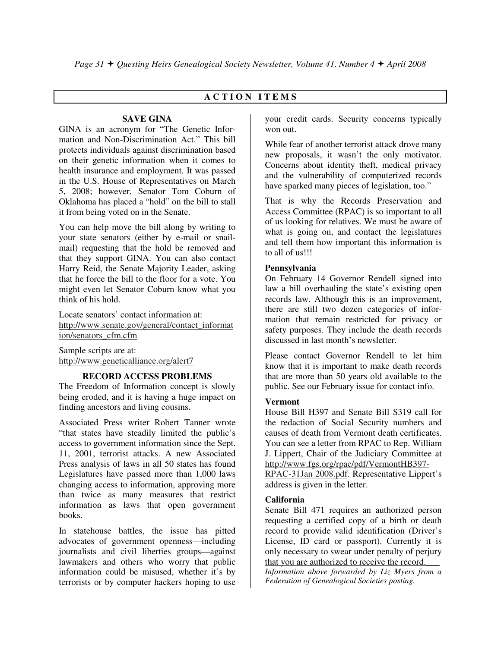### **A C T I O N I T E M S**

#### **SAVE GINA**

GINA is an acronym for "The Genetic Information and Non-Discrimination Act." This bill protects individuals against discrimination based on their genetic information when it comes to health insurance and employment. It was passed in the U.S. House of Representatives on March 5, 2008; however, Senator Tom Coburn of Oklahoma has placed a "hold" on the bill to stall it from being voted on in the Senate.

You can help move the bill along by writing to your state senators (either by e-mail or snailmail) requesting that the hold be removed and that they support GINA. You can also contact Harry Reid, the Senate Majority Leader, asking that he force the bill to the floor for a vote. You might even let Senator Coburn know what you think of his hold.

Locate senators' contact information at: http://www.senate.gov/general/contact\_informat ion/senators\_cfm.cfm

Sample scripts are at: http://www.geneticalliance.org/alert7

#### **RECORD ACCESS PROBLEMS**

The Freedom of Information concept is slowly being eroded, and it is having a huge impact on finding ancestors and living cousins.

Associated Press writer Robert Tanner wrote "that states have steadily limited the public's access to government information since the Sept. 11, 2001, terrorist attacks. A new Associated Press analysis of laws in all 50 states has found Legislatures have passed more than 1,000 laws changing access to information, approving more than twice as many measures that restrict information as laws that open government books.

In statehouse battles, the issue has pitted advocates of government openness—including journalists and civil liberties groups—against lawmakers and others who worry that public information could be misused, whether it's by terrorists or by computer hackers hoping to use

your credit cards. Security concerns typically won out.

While fear of another terrorist attack drove many new proposals, it wasn't the only motivator. Concerns about identity theft, medical privacy and the vulnerability of computerized records have sparked many pieces of legislation, too."

That is why the Records Preservation and Access Committee (RPAC) is so important to all of us looking for relatives. We must be aware of what is going on, and contact the legislatures and tell them how important this information is to all of us!!!

#### **Pennsylvania**

On February 14 Governor Rendell signed into law a bill overhauling the state's existing open records law. Although this is an improvement, there are still two dozen categories of information that remain restricted for privacy or safety purposes. They include the death records discussed in last month's newsletter.

Please contact Governor Rendell to let him know that it is important to make death records that are more than 50 years old available to the public. See our February issue for contact info.

#### **Vermont**

House Bill H397 and Senate Bill S319 call for the redaction of Social Security numbers and causes of death from Vermont death certificates. You can see a letter from RPAC to Rep. William J. Lippert, Chair of the Judiciary Committee at http://www.fgs.org/rpac/pdf/VermontHB397-

RPAC-31Jan 2008.pdf. Representative Lippert's address is given in the letter.

#### **California**

Senate Bill 471 requires an authorized person requesting a certified copy of a birth or death record to provide valid identification (Driver's License, ID card or passport). Currently it is only necessary to swear under penalty of perjury that you are authorized to receive the record. *Information above forwarded by Liz Myers from a Federation of Genealogical Societies posting.*